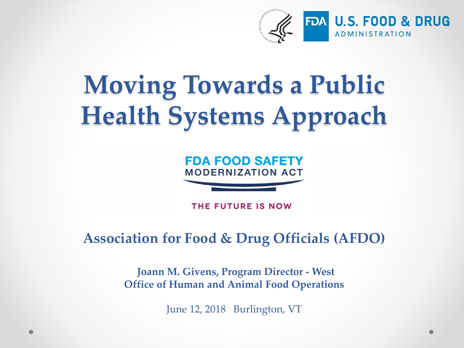

# **Moving Towards a Public Health Systems Approach**



THE FUTURE IS NOW

#### **Association for Food & Drug Officials (AFDO)**

**Joann M. Givens, Program Director - West Office of Human and Animal Food Operations**

June 12, 2018 Burlington, VT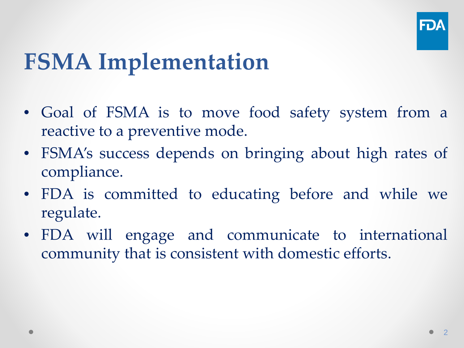

#### **FSMA Implementation**

- Goal of FSMA is to move food safety system from a reactive to a preventive mode.
- FSMA's success depends on bringing about high rates of compliance.
- FDA is committed to educating before and while we regulate.
- FDA will engage and communicate to international community that is consistent with domestic efforts.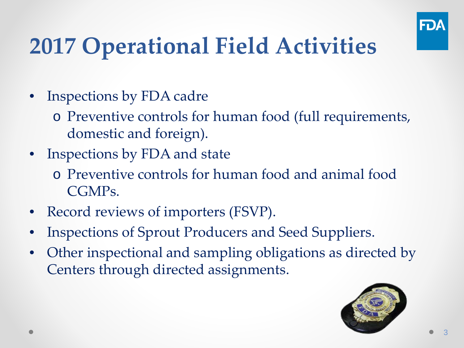

- Inspections by FDA cadre
	- o Preventive controls for human food (full requirements, domestic and foreign).
- Inspections by FDA and state
	- o Preventive controls for human food and animal food CGMPs.
- Record reviews of importers (FSVP).
- Inspections of Sprout Producers and Seed Suppliers.
- Other inspectional and sampling obligations as directed by Centers through directed assignments.

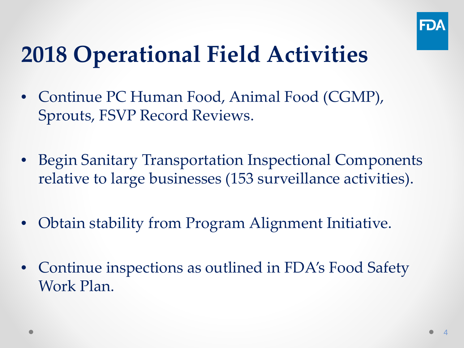

- Continue PC Human Food, Animal Food (CGMP), Sprouts, FSVP Record Reviews.
- Begin Sanitary Transportation Inspectional Components relative to large businesses (153 surveillance activities).
- Obtain stability from Program Alignment Initiative.
- Continue inspections as outlined in FDA's Food Safety Work Plan.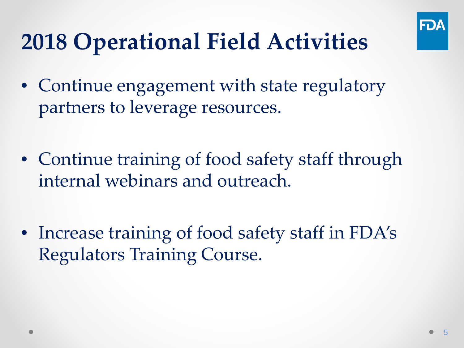

- Continue engagement with state regulatory partners to leverage resources.
- Continue training of food safety staff through internal webinars and outreach.
- Increase training of food safety staff in FDA's Regulators Training Course.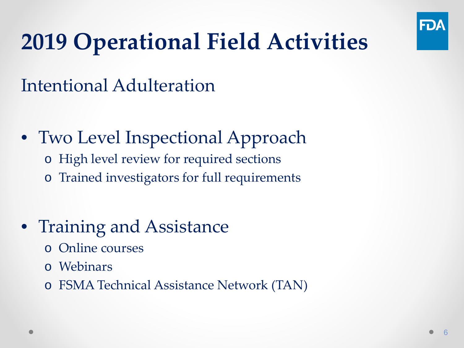

#### Intentional Adulteration

- Two Level Inspectional Approach
	- o High level review for required sections
	- o Trained investigators for full requirements
- Training and Assistance
	- o Online courses
	- o Webinars
	- o FSMA Technical Assistance Network (TAN)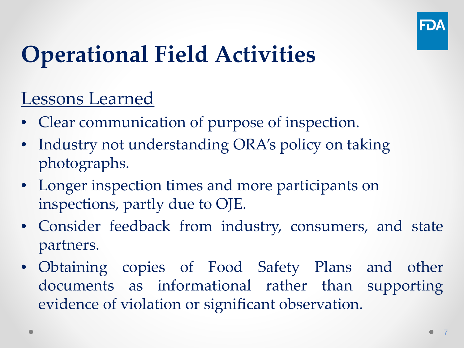

#### Lessons Learned

- Clear communication of purpose of inspection.
- Industry not understanding ORA's policy on taking photographs.
- Longer inspection times and more participants on inspections, partly due to OJE.
- Consider feedback from industry, consumers, and state partners.
- Obtaining copies of Food Safety Plans and other documents as informational rather than supporting evidence of violation or significant observation.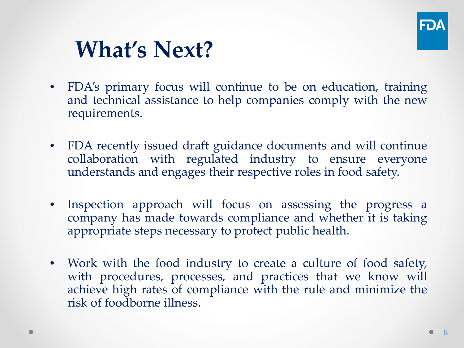

#### **What's Next?**

- FDA's primary focus will continue to be on education, training and technical assistance to help companies comply with the new requirements.
- FDA recently issued draft guidance documents and will continue collaboration with regulated industry to ensure everyone understands and engages their respective roles in food safety.
- Inspection approach will focus on assessing the progress a company has made towards compliance and whether it is taking appropriate steps necessary to protect public health.
- Work with the food industry to create a culture of food safety, with procedures, processes, and practices that we know will achieve high rates of compliance with the rule and minimize the risk of foodborne illness.